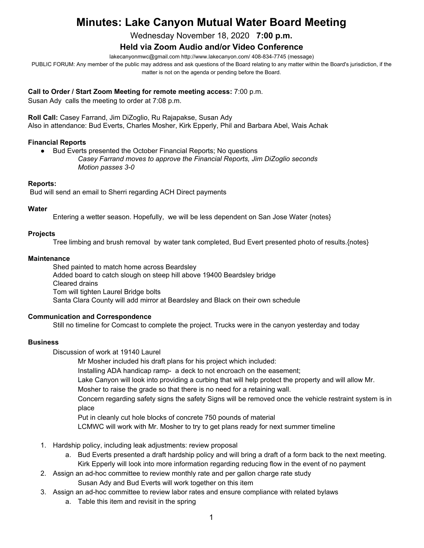# **Minutes: Lake Canyon Mutual Water Board Meeting**

Wednesday November 18, 2020 **7:00 p.m.**

## **Held via Zoom Audio and/or Video Conference**

lakecanyonmwc@gmail.com http://www.lakecanyon.com/ 408-834-7745 (message)

PUBLIC FORUM: Any member of the public may address and ask questions of the Board relating to any matter within the Board's jurisdiction, if the matter is not on the agenda or pending before the Board.

#### **Call to Order / Start Zoom Meeting for remote meeting access:** 7:00 p.m.

Susan Ady calls the meeting to order at 7:08 p.m.

**Roll Call:** Casey Farrand, Jim DiZoglio, Ru Rajapakse, Susan Ady Also in attendance: Bud Everts, Charles Mosher, Kirk Epperly, Phil and Barbara Abel, Wais Achak

## **Financial Reports**

- Bud Everts presented the October Financial Reports; No questions
	- *Casey Farrand moves to approve the Financial Reports, Jim DiZoglio seconds Motion passes 3-0*

#### **Reports:**

Bud will send an email to Sherri regarding ACH Direct payments

#### **Water**

Entering a wetter season. Hopefully, we will be less dependent on San Jose Water {notes}

#### **Projects**

Tree limbing and brush removal by water tank completed, Bud Evert presented photo of results.{notes}

#### **Maintenance**

Shed painted to match home across Beardsley Added board to catch slough on steep hill above 19400 Beardsley bridge Cleared drains Tom will tighten Laurel Bridge bolts Santa Clara County will add mirror at Beardsley and Black on their own schedule

#### **Communication and Correspondence**

Still no timeline for Comcast to complete the project. Trucks were in the canyon yesterday and today

## **Business**

Discussion of work at 19140 Laurel

Mr Mosher included his draft plans for his project which included:

Installing ADA handicap ramp- a deck to not encroach on the easement;

Lake Canyon will look into providing a curbing that will help protect the property and will allow Mr.

Mosher to raise the grade so that there is no need for a retaining wall.

Concern regarding safety signs the safety Signs will be removed once the vehicle restraint system is in place

Put in cleanly cut hole blocks of concrete 750 pounds of material

LCMWC will work with Mr. Mosher to try to get plans ready for next summer timeline

- 1. Hardship policy, including leak adjustments: review proposal
	- a. Bud Everts presented a draft hardship policy and will bring a draft of a form back to the next meeting. Kirk Epperly will look into more information regarding reducing flow in the event of no payment
- 2. Assign an ad-hoc committee to review monthly rate and per gallon charge rate study Susan Ady and Bud Everts will work together on this item
- 3. Assign an ad-hoc committee to review labor rates and ensure compliance with related bylaws
	- a. Table this item and revisit in the spring